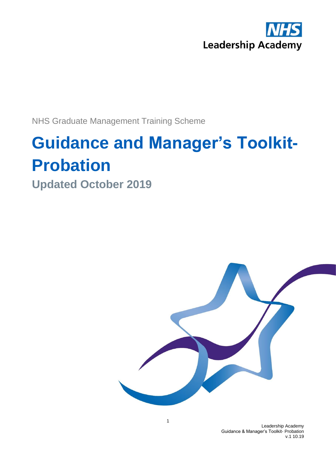

NHS Graduate Management Training Scheme

## **Guidance and Manager's Toolkit-Probation**

**Updated October 2019**



Leadership Academy Guidance & Manager's Toolkit- Probation v.1 10.19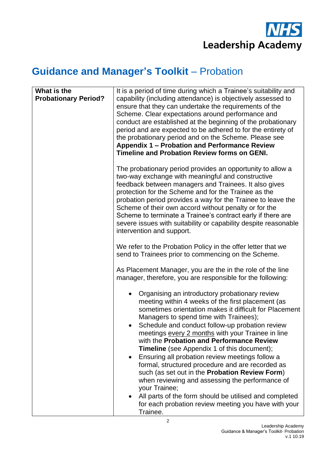

#### **Guidance and Manager's Toolkit** – Probation

| What is the<br><b>Probationary Period?</b> | It is a period of time during which a Trainee's suitability and<br>capability (including attendance) is objectively assessed to<br>ensure that they can undertake the requirements of the<br>Scheme. Clear expectations around performance and<br>conduct are established at the beginning of the probationary<br>period and are expected to be adhered to for the entirety of<br>the probationary period and on the Scheme. Please see<br>Appendix 1 - Probation and Performance Review<br>Timeline and Probation Review forms on GENI.                                                                                                                                                                                                                          |
|--------------------------------------------|-------------------------------------------------------------------------------------------------------------------------------------------------------------------------------------------------------------------------------------------------------------------------------------------------------------------------------------------------------------------------------------------------------------------------------------------------------------------------------------------------------------------------------------------------------------------------------------------------------------------------------------------------------------------------------------------------------------------------------------------------------------------|
|                                            | The probationary period provides an opportunity to allow a<br>two-way exchange with meaningful and constructive<br>feedback between managers and Trainees. It also gives<br>protection for the Scheme and for the Trainee as the<br>probation period provides a way for the Trainee to leave the<br>Scheme of their own accord without penalty or for the<br>Scheme to terminate a Trainee's contract early if there are<br>severe issues with suitability or capability despite reasonable<br>intervention and support.                                                                                                                                                                                                                                          |
|                                            | We refer to the Probation Policy in the offer letter that we<br>send to Trainees prior to commencing on the Scheme.                                                                                                                                                                                                                                                                                                                                                                                                                                                                                                                                                                                                                                               |
|                                            | As Placement Manager, you are the in the role of the line<br>manager, therefore, you are responsible for the following:                                                                                                                                                                                                                                                                                                                                                                                                                                                                                                                                                                                                                                           |
|                                            | Organising an introductory probationary review<br>meeting within 4 weeks of the first placement (as<br>sometimes orientation makes it difficult for Placement<br>Managers to spend time with Trainees);<br>Schedule and conduct follow-up probation review<br>meetings every 2 months with your Trainee in line<br>with the Probation and Performance Review<br><b>Timeline</b> (see Appendix 1 of this document);<br>Ensuring all probation review meetings follow a<br>formal, structured procedure and are recorded as<br>such (as set out in the Probation Review Form)<br>when reviewing and assessing the performance of<br>your Trainee;<br>All parts of the form should be utilised and completed<br>for each probation review meeting you have with your |
|                                            | Trainee.                                                                                                                                                                                                                                                                                                                                                                                                                                                                                                                                                                                                                                                                                                                                                          |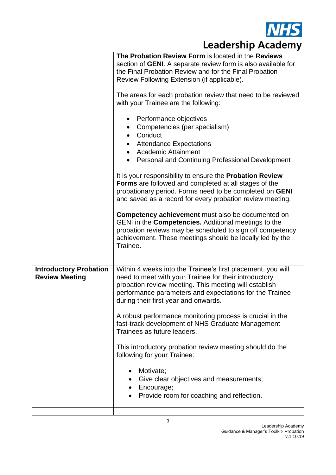

|                                                        | The Probation Review Form is located in the Reviews<br>section of <b>GENI</b> . A separate review form is also available for<br>the Final Probation Review and for the Final Probation<br>Review Following Extension (if applicable).<br>The areas for each probation review that need to be reviewed<br>with your Trainee are the following:<br>Performance objectives<br>٠<br>Competencies (per specialism)<br>Conduct<br><b>Attendance Expectations</b><br><b>Academic Attainment</b><br>$\bullet$<br>Personal and Continuing Professional Development<br>It is your responsibility to ensure the <b>Probation Review</b><br><b>Forms</b> are followed and completed at all stages of the<br>probationary period. Forms need to be completed on GENI<br>and saved as a record for every probation review meeting.<br><b>Competency achievement</b> must also be documented on<br>GENI in the Competencies. Additional meetings to the<br>probation reviews may be scheduled to sign off competency<br>achievement. These meetings should be locally led by the<br>Trainee. |
|--------------------------------------------------------|-------------------------------------------------------------------------------------------------------------------------------------------------------------------------------------------------------------------------------------------------------------------------------------------------------------------------------------------------------------------------------------------------------------------------------------------------------------------------------------------------------------------------------------------------------------------------------------------------------------------------------------------------------------------------------------------------------------------------------------------------------------------------------------------------------------------------------------------------------------------------------------------------------------------------------------------------------------------------------------------------------------------------------------------------------------------------------|
| <b>Introductory Probation</b><br><b>Review Meeting</b> | Within 4 weeks into the Trainee's first placement, you will<br>need to meet with your Trainee for their introductory<br>probation review meeting. This meeting will establish<br>performance parameters and expectations for the Trainee<br>during their first year and onwards.<br>A robust performance monitoring process is crucial in the<br>fast-track development of NHS Graduate Management<br>Trainees as future leaders.<br>This introductory probation review meeting should do the<br>following for your Trainee:<br>Motivate;<br>$\bullet$<br>Give clear objectives and measurements;<br>$\bullet$<br>Encourage;<br>٠<br>Provide room for coaching and reflection.                                                                                                                                                                                                                                                                                                                                                                                                |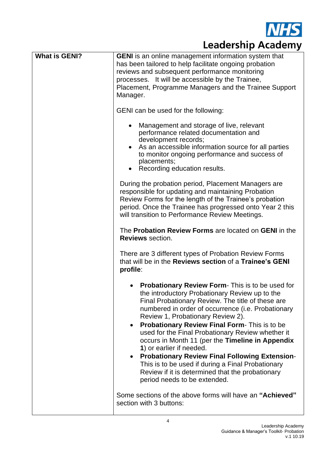

| <b>What is GENI?</b> | <b>GENI</b> is an online management information system that<br>has been tailored to help facilitate ongoing probation<br>reviews and subsequent performance monitoring<br>processes. It will be accessible by the Trainee,<br>Placement, Programme Managers and the Trainee Support<br>Manager.<br>GENI can be used for the following:<br>Management and storage of live, relevant<br>performance related documentation and<br>development records;<br>As an accessible information source for all parties<br>to monitor ongoing performance and success of<br>placements;<br>Recording education results.<br>During the probation period, Placement Managers are<br>responsible for updating and maintaining Probation<br>Review Forms for the length of the Trainee's probation<br>period. Once the Trainee has progressed onto Year 2 this |
|----------------------|-----------------------------------------------------------------------------------------------------------------------------------------------------------------------------------------------------------------------------------------------------------------------------------------------------------------------------------------------------------------------------------------------------------------------------------------------------------------------------------------------------------------------------------------------------------------------------------------------------------------------------------------------------------------------------------------------------------------------------------------------------------------------------------------------------------------------------------------------|
|                      | will transition to Performance Review Meetings.<br>The <b>Probation Review Forms</b> are located on <b>GENI</b> in the                                                                                                                                                                                                                                                                                                                                                                                                                                                                                                                                                                                                                                                                                                                        |
|                      | <b>Reviews</b> section.                                                                                                                                                                                                                                                                                                                                                                                                                                                                                                                                                                                                                                                                                                                                                                                                                       |
|                      | There are 3 different types of Probation Review Forms<br>that will be in the Reviews section of a Trainee's GENI<br>profile:                                                                                                                                                                                                                                                                                                                                                                                                                                                                                                                                                                                                                                                                                                                  |
|                      | <b>Probationary Review Form-</b> This is to be used for<br>the introductory Probationary Review up to the<br>Final Probationary Review. The title of these are<br>numbered in order of occurrence (i.e. Probationary<br>Review 1, Probationary Review 2).<br>Probationary Review Final Form- This is to be<br>٠<br>used for the Final Probationary Review whether it<br>occurs in Month 11 (per the Timeline in Appendix<br>1) or earlier if needed.<br><b>Probationary Review Final Following Extension-</b><br>$\bullet$<br>This is to be used if during a Final Probationary<br>Review if it is determined that the probationary<br>period needs to be extended.                                                                                                                                                                           |
|                      | Some sections of the above forms will have an "Achieved"<br>section with 3 buttons:                                                                                                                                                                                                                                                                                                                                                                                                                                                                                                                                                                                                                                                                                                                                                           |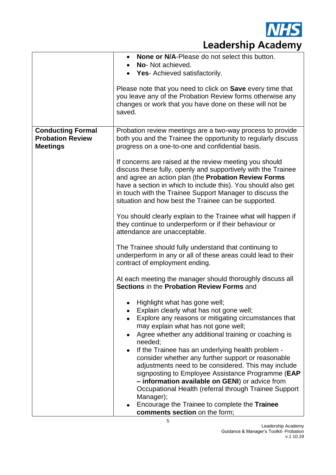

|                                                                        | <b>None or N/A-Please do not select this button.</b><br>No- Not achieved.<br>Yes- Achieved satisfactorily.<br>Please note that you need to click on Save every time that<br>you leave any of the Probation Review forms otherwise any<br>changes or work that you have done on these will not be<br>saved.                                                                                                                                                                                                                                                                                                                                                                                                                                                                                                                                                                                                                                                                                                                                                                                                                                                                                                                                                                                                                                                                                                                                                                                                                                                                                                                                                                                                         |
|------------------------------------------------------------------------|--------------------------------------------------------------------------------------------------------------------------------------------------------------------------------------------------------------------------------------------------------------------------------------------------------------------------------------------------------------------------------------------------------------------------------------------------------------------------------------------------------------------------------------------------------------------------------------------------------------------------------------------------------------------------------------------------------------------------------------------------------------------------------------------------------------------------------------------------------------------------------------------------------------------------------------------------------------------------------------------------------------------------------------------------------------------------------------------------------------------------------------------------------------------------------------------------------------------------------------------------------------------------------------------------------------------------------------------------------------------------------------------------------------------------------------------------------------------------------------------------------------------------------------------------------------------------------------------------------------------------------------------------------------------------------------------------------------------|
| <b>Conducting Formal</b><br><b>Probation Review</b><br><b>Meetings</b> | Probation review meetings are a two-way process to provide<br>both you and the Trainee the opportunity to regularly discuss<br>progress on a one-to-one and confidential basis.<br>If concerns are raised at the review meeting you should<br>discuss these fully, openly and supportively with the Trainee<br>and agree an action plan (the Probation Review Forms<br>have a section in which to include this). You should also get<br>in touch with the Trainee Support Manager to discuss the<br>situation and how best the Trainee can be supported.<br>You should clearly explain to the Trainee what will happen if<br>they continue to underperform or if their behaviour or<br>attendance are unacceptable.<br>The Trainee should fully understand that continuing to<br>underperform in any or all of these areas could lead to their<br>contract of employment ending.<br>At each meeting the manager should thoroughly discuss all<br>Sections in the Probation Review Forms and<br>Highlight what has gone well;<br>Explain clearly what has not gone well;<br>Explore any reasons or mitigating circumstances that<br>$\bullet$<br>may explain what has not gone well;<br>Agree whether any additional training or coaching is<br>$\bullet$<br>needed;<br>If the Trainee has an underlying health problem -<br>$\bullet$<br>consider whether any further support or reasonable<br>adjustments need to be considered. This may include<br>signposting to Employee Assistance Programme (EAP<br>- information available on GENI) or advice from<br>Occupational Health (referral through Trainee Support<br>Manager);<br>Encourage the Trainee to complete the Trainee<br>comments section on the form; |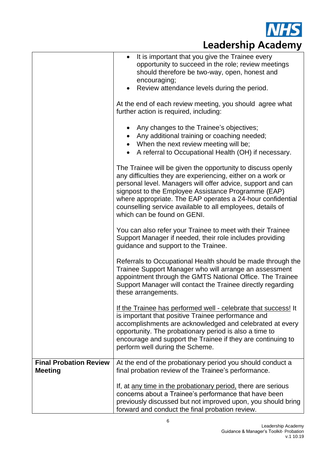

|                                                 | It is important that you give the Trainee every<br>$\bullet$<br>opportunity to succeed in the role; review meetings<br>should therefore be two-way, open, honest and<br>encouraging;<br>Review attendance levels during the period.                                                                                                                                                                         |
|-------------------------------------------------|-------------------------------------------------------------------------------------------------------------------------------------------------------------------------------------------------------------------------------------------------------------------------------------------------------------------------------------------------------------------------------------------------------------|
|                                                 | At the end of each review meeting, you should agree what<br>further action is required, including:                                                                                                                                                                                                                                                                                                          |
|                                                 | Any changes to the Trainee's objectives;<br>$\bullet$<br>Any additional training or coaching needed;<br>$\bullet$<br>When the next review meeting will be;<br>$\bullet$<br>A referral to Occupational Health (OH) if necessary.                                                                                                                                                                             |
|                                                 | The Trainee will be given the opportunity to discuss openly<br>any difficulties they are experiencing, either on a work or<br>personal level. Managers will offer advice, support and can<br>signpost to the Employee Assistance Programme (EAP)<br>where appropriate. The EAP operates a 24-hour confidential<br>counselling service available to all employees, details of<br>which can be found on GENI. |
|                                                 | You can also refer your Trainee to meet with their Trainee<br>Support Manager if needed, their role includes providing<br>guidance and support to the Trainee.                                                                                                                                                                                                                                              |
|                                                 | Referrals to Occupational Health should be made through the<br>Trainee Support Manager who will arrange an assessment<br>appointment through the GMTS National Office. The Trainee<br>Support Manager will contact the Trainee directly regarding<br>these arrangements.                                                                                                                                    |
|                                                 | If the Trainee has performed well - celebrate that success! It<br>is important that positive Trainee performance and<br>accomplishments are acknowledged and celebrated at every<br>opportunity. The probationary period is also a time to<br>encourage and support the Trainee if they are continuing to<br>perform well during the Scheme.                                                                |
| <b>Final Probation Review</b><br><b>Meeting</b> | At the end of the probationary period you should conduct a<br>final probation review of the Trainee's performance.                                                                                                                                                                                                                                                                                          |
|                                                 | If, at any time in the probationary period, there are serious<br>concerns about a Trainee's performance that have been<br>previously discussed but not improved upon, you should bring<br>forward and conduct the final probation review.                                                                                                                                                                   |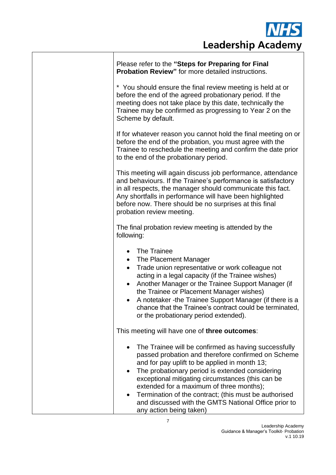

| Please refer to the "Steps for Preparing for Final<br><b>Probation Review"</b> for more detailed instructions.                                                                                                                                                                                                                                                                                                                                                           |
|--------------------------------------------------------------------------------------------------------------------------------------------------------------------------------------------------------------------------------------------------------------------------------------------------------------------------------------------------------------------------------------------------------------------------------------------------------------------------|
| * You should ensure the final review meeting is held at or<br>before the end of the agreed probationary period. If the<br>meeting does not take place by this date, technically the<br>Trainee may be confirmed as progressing to Year 2 on the<br>Scheme by default.                                                                                                                                                                                                    |
| If for whatever reason you cannot hold the final meeting on or<br>before the end of the probation, you must agree with the<br>Trainee to reschedule the meeting and confirm the date prior<br>to the end of the probationary period.                                                                                                                                                                                                                                     |
| This meeting will again discuss job performance, attendance<br>and behaviours. If the Trainee's performance is satisfactory<br>in all respects, the manager should communicate this fact.<br>Any shortfalls in performance will have been highlighted<br>before now. There should be no surprises at this final<br>probation review meeting.                                                                                                                             |
| The final probation review meeting is attended by the<br>following:                                                                                                                                                                                                                                                                                                                                                                                                      |
| The Trainee<br>$\bullet$<br>The Placement Manager<br>$\bullet$<br>Trade union representative or work colleague not<br>$\bullet$<br>acting in a legal capacity (if the Trainee wishes)<br>Another Manager or the Trainee Support Manager (if<br>$\bullet$<br>the Trainee or Placement Manager wishes)<br>A notetaker -the Trainee Support Manager (if there is a<br>٠<br>chance that the Trainee's contract could be terminated,<br>or the probationary period extended). |
| This meeting will have one of three outcomes:                                                                                                                                                                                                                                                                                                                                                                                                                            |
| The Trainee will be confirmed as having successfully<br>passed probation and therefore confirmed on Scheme<br>and for pay uplift to be applied in month 13;<br>The probationary period is extended considering<br>exceptional mitigating circumstances (this can be<br>extended for a maximum of three months);<br>Termination of the contract; (this must be authorised<br>٠<br>and discussed with the GMTS National Office prior to<br>any action being taken)         |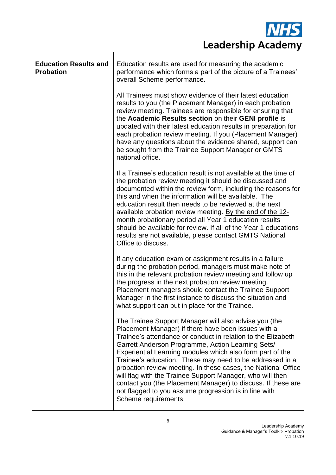| <b>Education Results and</b><br><b>Probation</b> | Education results are used for measuring the academic<br>performance which forms a part of the picture of a Trainees'<br>overall Scheme performance.                                                                                                                                                                                                                                                                                                                                                                                                                                                                                      |
|--------------------------------------------------|-------------------------------------------------------------------------------------------------------------------------------------------------------------------------------------------------------------------------------------------------------------------------------------------------------------------------------------------------------------------------------------------------------------------------------------------------------------------------------------------------------------------------------------------------------------------------------------------------------------------------------------------|
|                                                  | All Trainees must show evidence of their latest education<br>results to you (the Placement Manager) in each probation<br>review meeting. Trainees are responsible for ensuring that<br>the Academic Results section on their GENI profile is<br>updated with their latest education results in preparation for<br>each probation review meeting. If you (Placement Manager)<br>have any questions about the evidence shared, support can<br>be sought from the Trainee Support Manager or GMTS<br>national office.                                                                                                                        |
|                                                  | If a Trainee's education result is not available at the time of<br>the probation review meeting it should be discussed and<br>documented within the review form, including the reasons for<br>this and when the information will be available. The<br>education result then needs to be reviewed at the next<br>available probation review meeting. By the end of the 12-<br>month probationary period all Year 1 education results<br>should be available for review. If all of the Year 1 educations<br>results are not available, please contact GMTS National<br>Office to discuss.                                                   |
|                                                  | If any education exam or assignment results in a failure<br>during the probation period, managers must make note of<br>this in the relevant probation review meeting and follow up<br>the progress in the next probation review meeting.<br>Placement managers should contact the Trainee Support<br>Manager in the first instance to discuss the situation and<br>what support can put in place for the Trainee.                                                                                                                                                                                                                         |
|                                                  | The Trainee Support Manager will also advise you (the<br>Placement Manager) if there have been issues with a<br>Trainee's attendance or conduct in relation to the Elizabeth<br>Garrett Anderson Programme, Action Learning Sets/<br>Experiential Learning modules which also form part of the<br>Trainee's education. These may need to be addressed in a<br>probation review meeting. In these cases, the National Office<br>will flag with the Trainee Support Manager, who will then<br>contact you (the Placement Manager) to discuss. If these are<br>not flagged to you assume progression is in line with<br>Scheme requirements. |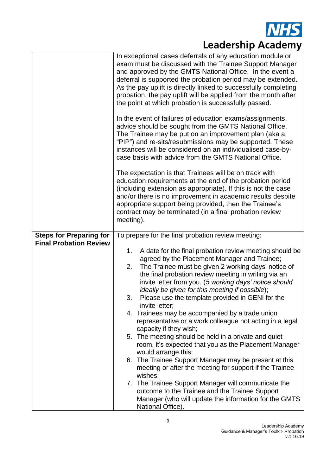

|                                | In exceptional cases deferrals of any education module or<br>exam must be discussed with the Trainee Support Manager<br>and approved by the GMTS National Office. In the event a<br>deferral is supported the probation period may be extended.<br>As the pay uplift is directly linked to successfully completing<br>probation, the pay uplift will be applied from the month after<br>the point at which probation is successfully passed. |
|--------------------------------|----------------------------------------------------------------------------------------------------------------------------------------------------------------------------------------------------------------------------------------------------------------------------------------------------------------------------------------------------------------------------------------------------------------------------------------------|
|                                | In the event of failures of education exams/assignments,<br>advice should be sought from the GMTS National Office.<br>The Trainee may be put on an improvement plan (aka a<br>"PIP") and re-sits/resubmissions may be supported. These<br>instances will be considered on an individualised case-by-<br>case basis with advice from the GMTS National Office.                                                                                |
|                                | The expectation is that Trainees will be on track with<br>education requirements at the end of the probation period<br>(including extension as appropriate). If this is not the case<br>and/or there is no improvement in academic results despite<br>appropriate support being provided, then the Trainee's<br>contract may be terminated (in a final probation review<br>meeting).                                                         |
| <b>Steps for Preparing for</b> | To prepare for the final probation review meeting:                                                                                                                                                                                                                                                                                                                                                                                           |
| <b>Final Probation Review</b>  | A date for the final probation review meeting should be<br>1.                                                                                                                                                                                                                                                                                                                                                                                |
|                                | agreed by the Placement Manager and Trainee;                                                                                                                                                                                                                                                                                                                                                                                                 |
|                                | The Trainee must be given 2 working days' notice of<br>2.<br>the final probation review meeting in writing via an                                                                                                                                                                                                                                                                                                                            |
|                                | invite letter from you. (5 working days' notice should                                                                                                                                                                                                                                                                                                                                                                                       |
|                                | ideally be given for this meeting if possible);                                                                                                                                                                                                                                                                                                                                                                                              |
|                                | Please use the template provided in GENI for the<br>3.<br>invite letter;                                                                                                                                                                                                                                                                                                                                                                     |
|                                | 4. Trainees may be accompanied by a trade union                                                                                                                                                                                                                                                                                                                                                                                              |
|                                | representative or a work colleague not acting in a legal<br>capacity if they wish;                                                                                                                                                                                                                                                                                                                                                           |
|                                | The meeting should be held in a private and quiet<br>5.                                                                                                                                                                                                                                                                                                                                                                                      |
|                                | room, it's expected that you as the Placement Manager                                                                                                                                                                                                                                                                                                                                                                                        |
|                                | would arrange this;<br>6. The Trainee Support Manager may be present at this                                                                                                                                                                                                                                                                                                                                                                 |
|                                | meeting or after the meeting for support if the Trainee                                                                                                                                                                                                                                                                                                                                                                                      |
|                                | wishes;<br>7. The Trainee Support Manager will communicate the                                                                                                                                                                                                                                                                                                                                                                               |
|                                | outcome to the Trainee and the Trainee Support                                                                                                                                                                                                                                                                                                                                                                                               |
|                                | Manager (who will update the information for the GMTS<br>National Office).                                                                                                                                                                                                                                                                                                                                                                   |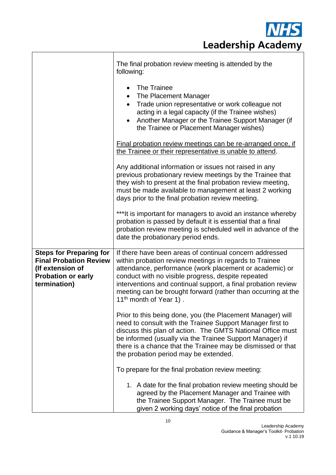|                                                                                                                                  | The final probation review meeting is attended by the<br>following:                                                                                                                                                                                                                                                                                                                                       |
|----------------------------------------------------------------------------------------------------------------------------------|-----------------------------------------------------------------------------------------------------------------------------------------------------------------------------------------------------------------------------------------------------------------------------------------------------------------------------------------------------------------------------------------------------------|
|                                                                                                                                  | The Trainee<br>$\bullet$<br>The Placement Manager<br>$\bullet$<br>Trade union representative or work colleague not<br>$\bullet$<br>acting in a legal capacity (if the Trainee wishes)<br>Another Manager or the Trainee Support Manager (if<br>$\bullet$<br>the Trainee or Placement Manager wishes)                                                                                                      |
|                                                                                                                                  | Final probation review meetings can be re-arranged once, if<br>the Trainee or their representative is unable to attend.                                                                                                                                                                                                                                                                                   |
|                                                                                                                                  | Any additional information or issues not raised in any<br>previous probationary review meetings by the Trainee that<br>they wish to present at the final probation review meeting,<br>must be made available to management at least 2 working<br>days prior to the final probation review meeting.                                                                                                        |
|                                                                                                                                  | *** It is important for managers to avoid an instance whereby<br>probation is passed by default it is essential that a final<br>probation review meeting is scheduled well in advance of the<br>date the probationary period ends.                                                                                                                                                                        |
| <b>Steps for Preparing for</b><br><b>Final Probation Review</b><br>(If extension of<br><b>Probation or early</b><br>termination) | If there have been areas of continual concern addressed<br>within probation review meetings in regards to Trainee<br>attendance, performance (work placement or academic) or<br>conduct with no visible progress, despite repeated<br>interventions and continual support, a final probation review<br>meeting can be brought forward (rather than occurring at the<br>11 <sup>th</sup> month of Year 1). |
|                                                                                                                                  | Prior to this being done, you (the Placement Manager) will<br>need to consult with the Trainee Support Manager first to<br>discuss this plan of action. The GMTS National Office must<br>be informed (usually via the Trainee Support Manager) if<br>there is a chance that the Trainee may be dismissed or that<br>the probation period may be extended.                                                 |
|                                                                                                                                  | To prepare for the final probation review meeting:                                                                                                                                                                                                                                                                                                                                                        |
|                                                                                                                                  | 1. A date for the final probation review meeting should be<br>agreed by the Placement Manager and Trainee with<br>the Trainee Support Manager. The Trainee must be<br>given 2 working days' notice of the final probation                                                                                                                                                                                 |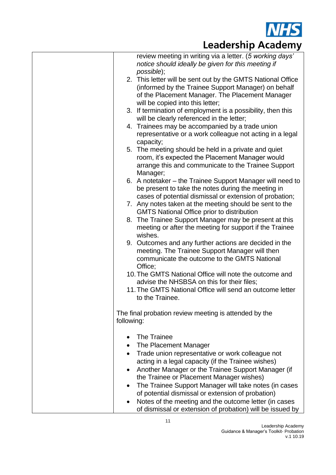

| review meeting in writing via a letter. (5 working days'<br>notice should ideally be given for this meeting if                                                                                                                                                                                                                                                                                                                                                                                                                   |
|----------------------------------------------------------------------------------------------------------------------------------------------------------------------------------------------------------------------------------------------------------------------------------------------------------------------------------------------------------------------------------------------------------------------------------------------------------------------------------------------------------------------------------|
|                                                                                                                                                                                                                                                                                                                                                                                                                                                                                                                                  |
| possible);<br>2. This letter will be sent out by the GMTS National Office                                                                                                                                                                                                                                                                                                                                                                                                                                                        |
| (informed by the Trainee Support Manager) on behalf<br>of the Placement Manager. The Placement Manager                                                                                                                                                                                                                                                                                                                                                                                                                           |
| will be copied into this letter;<br>3. If termination of employment is a possibility, then this<br>will be clearly referenced in the letter;                                                                                                                                                                                                                                                                                                                                                                                     |
| 4. Trainees may be accompanied by a trade union<br>representative or a work colleague not acting in a legal<br>capacity;                                                                                                                                                                                                                                                                                                                                                                                                         |
| 5. The meeting should be held in a private and quiet<br>room, it's expected the Placement Manager would<br>arrange this and communicate to the Trainee Support<br>Manager;                                                                                                                                                                                                                                                                                                                                                       |
| 6. A notetaker – the Trainee Support Manager will need to<br>be present to take the notes during the meeting in<br>cases of potential dismissal or extension of probation;                                                                                                                                                                                                                                                                                                                                                       |
| 7. Any notes taken at the meeting should be sent to the<br><b>GMTS National Office prior to distribution</b>                                                                                                                                                                                                                                                                                                                                                                                                                     |
| 8. The Trainee Support Manager may be present at this<br>meeting or after the meeting for support if the Trainee<br>wishes.                                                                                                                                                                                                                                                                                                                                                                                                      |
| 9. Outcomes and any further actions are decided in the<br>meeting. The Trainee Support Manager will then<br>communicate the outcome to the GMTS National<br>Office;                                                                                                                                                                                                                                                                                                                                                              |
| 10. The GMTS National Office will note the outcome and<br>advise the NHSBSA on this for their files;                                                                                                                                                                                                                                                                                                                                                                                                                             |
| 11. The GMTS National Office will send an outcome letter<br>to the Trainee.                                                                                                                                                                                                                                                                                                                                                                                                                                                      |
| The final probation review meeting is attended by the<br>following:                                                                                                                                                                                                                                                                                                                                                                                                                                                              |
| The Trainee<br>The Placement Manager<br>Trade union representative or work colleague not<br>$\bullet$<br>acting in a legal capacity (if the Trainee wishes)<br>Another Manager or the Trainee Support Manager (if<br>٠<br>the Trainee or Placement Manager wishes)<br>The Trainee Support Manager will take notes (in cases<br>$\bullet$<br>of potential dismissal or extension of probation)<br>Notes of the meeting and the outcome letter (in cases<br>$\bullet$<br>of dismissal or extension of probation) will be issued by |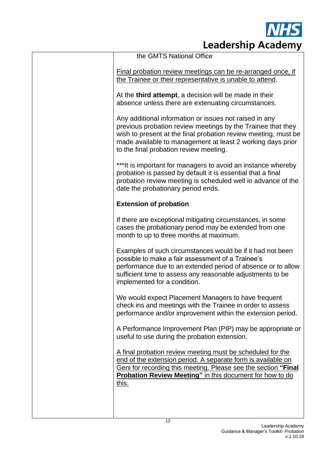

| the GMTS National Office                                                                                                                                                                                                                                                                        |
|-------------------------------------------------------------------------------------------------------------------------------------------------------------------------------------------------------------------------------------------------------------------------------------------------|
| Final probation review meetings can be re-arranged once, if<br>the Trainee or their representative is unable to attend.                                                                                                                                                                         |
| At the third attempt, a decision will be made in their<br>absence unless there are extenuating circumstances.                                                                                                                                                                                   |
| Any additional information or issues not raised in any<br>previous probation review meetings by the Trainee that they<br>wish to present at the final probation review meeting, must be<br>made available to management at least 2 working days prior<br>to the final probation review meeting. |
| ***It is important for managers to avoid an instance whereby<br>probation is passed by default it is essential that a final<br>probation review meeting is scheduled well in advance of the<br>date the probationary period ends.                                                               |
| <b>Extension of probation</b>                                                                                                                                                                                                                                                                   |
| If there are exceptional mitigating circumstances, in some<br>cases the probationary period may be extended from one<br>month to up to three months at maximum.                                                                                                                                 |
| Examples of such circumstances would be if it had not been<br>possible to make a fair assessment of a Trainee's<br>performance due to an extended period of absence or to allow<br>sufficient time to assess any reasonable adjustments to be<br>implemented for a condition.                   |
| We would expect Placement Managers to have frequent<br>check ins and meetings with the Trainee in order to assess<br>performance and/or improvement within the extension period.                                                                                                                |
| A Performance Improvement Plan (PIP) may be appropriate or<br>useful to use during the probation extension.                                                                                                                                                                                     |
| A final probation review meeting must be scheduled for the<br>end of the extension period. A separate form is available on<br>Geni for recording this meeting. Please see the section "Final<br><b>Probation Review Meeting"</b> in this document for how to do<br><u>this.</u>                 |
|                                                                                                                                                                                                                                                                                                 |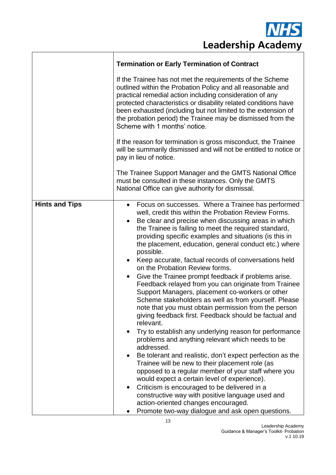

|                       | <b>Termination or Early Termination of Contract</b>                                                                                                                                                                                                                                                                                                                                                                                                                                                                                                                                                                                                                                                                                                                                                                                                                                                                                                                                                                                                                                                                                                                                                                                                                                                                                                                                                                                                      |
|-----------------------|----------------------------------------------------------------------------------------------------------------------------------------------------------------------------------------------------------------------------------------------------------------------------------------------------------------------------------------------------------------------------------------------------------------------------------------------------------------------------------------------------------------------------------------------------------------------------------------------------------------------------------------------------------------------------------------------------------------------------------------------------------------------------------------------------------------------------------------------------------------------------------------------------------------------------------------------------------------------------------------------------------------------------------------------------------------------------------------------------------------------------------------------------------------------------------------------------------------------------------------------------------------------------------------------------------------------------------------------------------------------------------------------------------------------------------------------------------|
|                       | If the Trainee has not met the requirements of the Scheme<br>outlined within the Probation Policy and all reasonable and<br>practical remedial action including consideration of any<br>protected characteristics or disability related conditions have<br>been exhausted (including but not limited to the extension of<br>the probation period) the Trainee may be dismissed from the<br>Scheme with 1 months' notice.                                                                                                                                                                                                                                                                                                                                                                                                                                                                                                                                                                                                                                                                                                                                                                                                                                                                                                                                                                                                                                 |
|                       | If the reason for termination is gross misconduct, the Trainee<br>will be summarily dismissed and will not be entitled to notice or<br>pay in lieu of notice.                                                                                                                                                                                                                                                                                                                                                                                                                                                                                                                                                                                                                                                                                                                                                                                                                                                                                                                                                                                                                                                                                                                                                                                                                                                                                            |
|                       | The Trainee Support Manager and the GMTS National Office<br>must be consulted in these instances. Only the GMTS<br>National Office can give authority for dismissal.                                                                                                                                                                                                                                                                                                                                                                                                                                                                                                                                                                                                                                                                                                                                                                                                                                                                                                                                                                                                                                                                                                                                                                                                                                                                                     |
| <b>Hints and Tips</b> | Focus on successes. Where a Trainee has performed<br>$\bullet$<br>well, credit this within the Probation Review Forms.<br>Be clear and precise when discussing areas in which<br>$\bullet$<br>the Trainee is failing to meet the required standard,<br>providing specific examples and situations (is this in<br>the placement, education, general conduct etc.) where<br>possible.<br>Keep accurate, factual records of conversations held<br>$\bullet$<br>on the Probation Review forms.<br>Give the Trainee prompt feedback if problems arise.<br>$\bullet$<br>Feedback relayed from you can originate from Trainee<br>Support Managers, placement co-workers or other<br>Scheme stakeholders as well as from yourself. Please<br>note that you must obtain permission from the person<br>giving feedback first. Feedback should be factual and<br>relevant.<br>Try to establish any underlying reason for performance<br>$\bullet$<br>problems and anything relevant which needs to be<br>addressed.<br>Be tolerant and realistic, don't expect perfection as the<br>$\bullet$<br>Trainee will be new to their placement role (as<br>opposed to a regular member of your staff where you<br>would expect a certain level of experience).<br>Criticism is encouraged to be delivered in a<br>$\bullet$<br>constructive way with positive language used and<br>action-oriented changes encouraged.<br>Promote two-way dialogue and ask open questions. |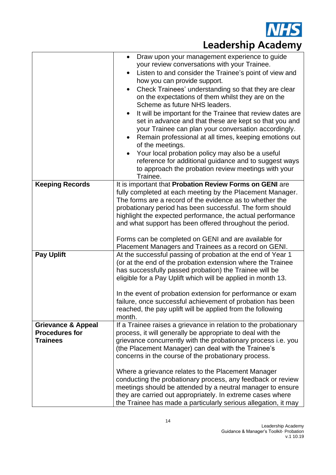

|                               | Draw upon your management experience to guide<br>$\bullet$                                                               |
|-------------------------------|--------------------------------------------------------------------------------------------------------------------------|
|                               | your review conversations with your Trainee.                                                                             |
|                               | Listen to and consider the Trainee's point of view and<br>$\bullet$<br>how you can provide support.                      |
|                               |                                                                                                                          |
|                               | Check Trainees' understanding so that they are clear<br>on the expectations of them whilst they are on the               |
|                               | Scheme as future NHS leaders.                                                                                            |
|                               | It will be important for the Trainee that review dates are<br>$\bullet$                                                  |
|                               | set in advance and that these are kept so that you and                                                                   |
|                               | your Trainee can plan your conversation accordingly.                                                                     |
|                               | Remain professional at all times, keeping emotions out<br>$\bullet$                                                      |
|                               | of the meetings.                                                                                                         |
|                               | Your local probation policy may also be a useful                                                                         |
|                               | reference for additional guidance and to suggest ways                                                                    |
|                               | to approach the probation review meetings with your<br>Trainee.                                                          |
| <b>Keeping Records</b>        | It is important that Probation Review Forms on GENI are                                                                  |
|                               | fully completed at each meeting by the Placement Manager.                                                                |
|                               | The forms are a record of the evidence as to whether the                                                                 |
|                               | probationary period has been successful. The form should                                                                 |
|                               | highlight the expected performance, the actual performance                                                               |
|                               | and what support has been offered throughout the period.                                                                 |
|                               | Forms can be completed on GENI and are available for                                                                     |
|                               | Placement Managers and Trainees as a record on GENI.                                                                     |
| <b>Pay Uplift</b>             | At the successful passing of probation at the end of Year 1                                                              |
|                               | (or at the end of the probation extension where the Trainee                                                              |
|                               | has successfully passed probation) the Trainee will be                                                                   |
|                               | eligible for a Pay Uplift which will be applied in month 13.                                                             |
|                               |                                                                                                                          |
|                               | In the event of probation extension for performance or exam                                                              |
|                               | failure, once successful achievement of probation has been<br>reached, the pay uplift will be applied from the following |
|                               | month.                                                                                                                   |
| <b>Grievance &amp; Appeal</b> | If a Trainee raises a grievance in relation to the probationary                                                          |
| <b>Procedures for</b>         | process, it will generally be appropriate to deal with the                                                               |
| <b>Trainees</b>               | grievance concurrently with the probationary process i.e. you                                                            |
|                               | (the Placement Manager) can deal with the Trainee's                                                                      |
|                               | concerns in the course of the probationary process.                                                                      |
|                               | Where a grievance relates to the Placement Manager                                                                       |
|                               | conducting the probationary process, any feedback or review                                                              |
|                               | meetings should be attended by a neutral manager to ensure                                                               |
|                               | they are carried out appropriately. In extreme cases where                                                               |
|                               | the Trainee has made a particularly serious allegation, it may                                                           |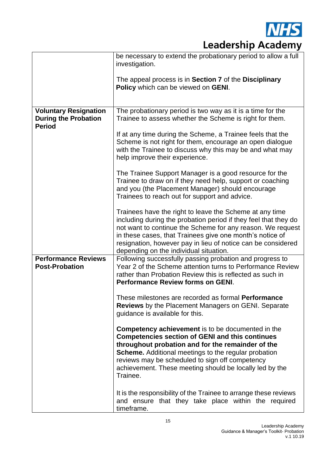

|                                                                              | be necessary to extend the probationary period to allow a full<br>investigation.                                                                                                                                                                                                                                                                                 |
|------------------------------------------------------------------------------|------------------------------------------------------------------------------------------------------------------------------------------------------------------------------------------------------------------------------------------------------------------------------------------------------------------------------------------------------------------|
|                                                                              | The appeal process is in Section 7 of the Disciplinary<br>Policy which can be viewed on GENI.                                                                                                                                                                                                                                                                    |
| <b>Voluntary Resignation</b><br><b>During the Probation</b><br><b>Period</b> | The probationary period is two way as it is a time for the<br>Trainee to assess whether the Scheme is right for them.                                                                                                                                                                                                                                            |
|                                                                              | If at any time during the Scheme, a Trainee feels that the<br>Scheme is not right for them, encourage an open dialogue<br>with the Trainee to discuss why this may be and what may<br>help improve their experience.                                                                                                                                             |
|                                                                              | The Trainee Support Manager is a good resource for the<br>Trainee to draw on if they need help, support or coaching<br>and you (the Placement Manager) should encourage<br>Trainees to reach out for support and advice.                                                                                                                                         |
|                                                                              | Trainees have the right to leave the Scheme at any time<br>including during the probation period if they feel that they do<br>not want to continue the Scheme for any reason. We request<br>in these cases, that Trainees give one month's notice of<br>resignation, however pay in lieu of notice can be considered<br>depending on the individual situation.   |
| <b>Performance Reviews</b><br><b>Post-Probation</b>                          | Following successfully passing probation and progress to<br>Year 2 of the Scheme attention turns to Performance Review<br>rather than Probation Review this is reflected as such in<br><b>Performance Review forms on GENI.</b>                                                                                                                                  |
|                                                                              | These milestones are recorded as formal <b>Performance</b><br><b>Reviews</b> by the Placement Managers on GENI. Separate<br>guidance is available for this.                                                                                                                                                                                                      |
|                                                                              | <b>Competency achievement</b> is to be documented in the<br><b>Competencies section of GENI and this continues</b><br>throughout probation and for the remainder of the<br><b>Scheme.</b> Additional meetings to the regular probation<br>reviews may be scheduled to sign off competency<br>achievement. These meeting should be locally led by the<br>Trainee. |
|                                                                              | It is the responsibility of the Trainee to arrange these reviews<br>and ensure that they take place within the required<br>timeframe.                                                                                                                                                                                                                            |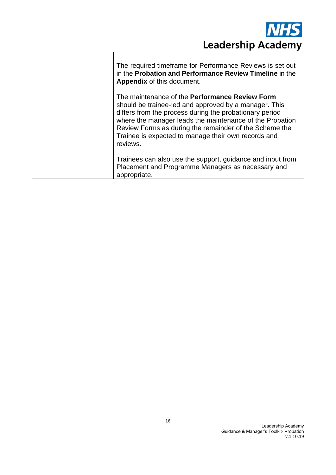

| The required timeframe for Performance Reviews is set out<br>in the Probation and Performance Review Timeline in the<br><b>Appendix of this document.</b>                                                                                                                                                                                                   |
|-------------------------------------------------------------------------------------------------------------------------------------------------------------------------------------------------------------------------------------------------------------------------------------------------------------------------------------------------------------|
| The maintenance of the Performance Review Form<br>should be trainee-led and approved by a manager. This<br>differs from the process during the probationary period<br>where the manager leads the maintenance of the Probation<br>Review Forms as during the remainder of the Scheme the<br>Trainee is expected to manage their own records and<br>reviews. |
| Trainees can also use the support, guidance and input from<br>Placement and Programme Managers as necessary and<br>appropriate.                                                                                                                                                                                                                             |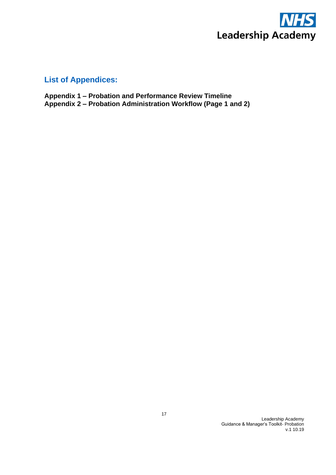

#### **List of Appendices:**

**Appendix 1 – Probation and Performance Review Timeline Appendix 2 – Probation Administration Workflow (Page 1 and 2)**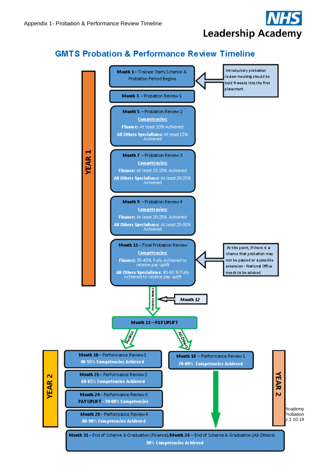

#### **GMTS Probation & Performance Review Timeline**

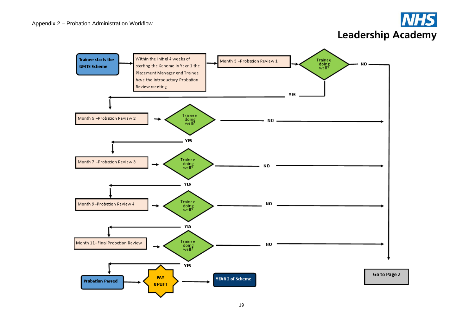